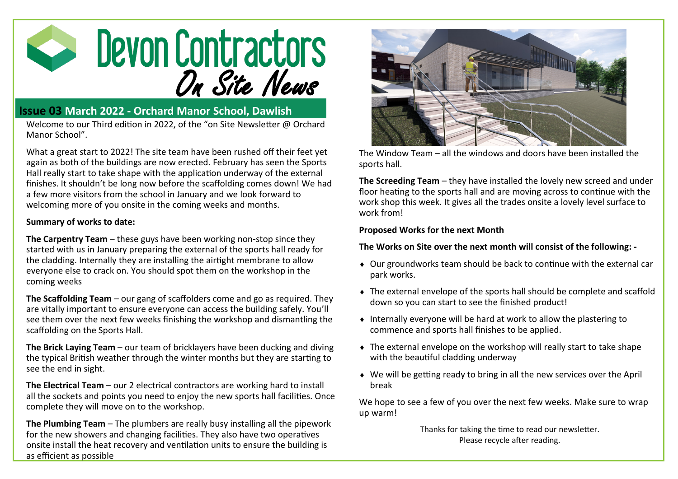

## **Issue 03 March 2022 - Orchard Manor School, Dawlish**

Welcome to our Third edition in 2022, of the "on Site Newsletter @ Orchard Manor School".

What a great start to 2022! The site team have been rushed off their feet yet again as both of the buildings are now erected. February has seen the Sports Hall really start to take shape with the application underway of the external finishes. It shouldn't be long now before the scaffolding comes down! We had a few more visitors from the school in January and we look forward to welcoming more of you onsite in the coming weeks and months.

## **Summary of works to date:**

**The Carpentry Team** – these guys have been working non-stop since they started with us in January preparing the external of the sports hall ready for the cladding. Internally they are installing the airtight membrane to allow everyone else to crack on. You should spot them on the workshop in the coming weeks

**The Scaffolding Team** – our gang of scaffolders come and go as required. They are vitally important to ensure everyone can access the building safely. You'll see them over the next few weeks finishing the workshop and dismantling the scaffolding on the Sports Hall.

**The Brick Laying Team** – our team of bricklayers have been ducking and diving the typical British weather through the winter months but they are starting to see the end in sight.

**The Electrical Team** – our 2 electrical contractors are working hard to install all the sockets and points you need to enjoy the new sports hall facilities. Once complete they will move on to the workshop.

**The Plumbing Team** – The plumbers are really busy installing all the pipework for the new showers and changing facilities. They also have two operatives onsite install the heat recovery and ventilation units to ensure the building is as efficient as possible



The Window Team – all the windows and doors have been installed the sports hall.

**The Screeding Team** – they have installed the lovely new screed and under floor heating to the sports hall and are moving across to continue with the work shop this week. It gives all the trades onsite a lovely level surface to work from!

## **Proposed Works for the next Month**

**The Works on Site over the next month will consist of the following: -**

- Our groundworks team should be back to continue with the external car park works.
- The external envelope of the sports hall should be complete and scaffold down so you can start to see the finished product!
- Internally everyone will be hard at work to allow the plastering to commence and sports hall finishes to be applied.
- The external envelope on the workshop will really start to take shape with the beautiful cladding underway
- We will be getting ready to bring in all the new services over the April break

We hope to see a few of you over the next few weeks. Make sure to wrap up warm!

> Thanks for taking the time to read our newsletter. Please recycle after reading.